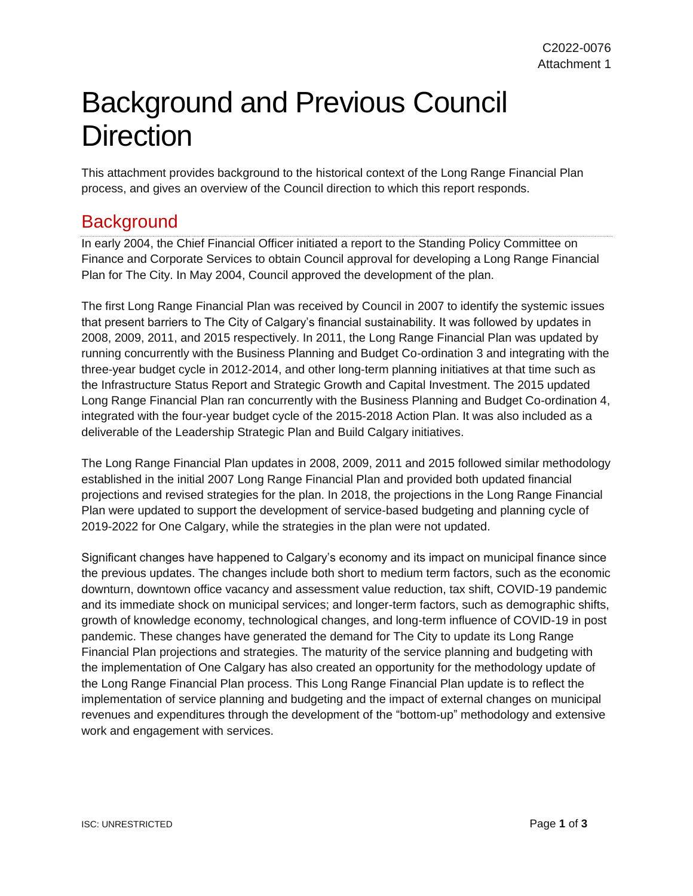## Background and Previous Council **Direction**

This attachment provides background to the historical context of the Long Range Financial Plan process, and gives an overview of the Council direction to which this report responds.

## **Background**

In early 2004, the Chief Financial Officer initiated a report to the Standing Policy Committee on Finance and Corporate Services to obtain Council approval for developing a Long Range Financial Plan for The City. In May 2004, Council approved the development of the plan.

The first Long Range Financial Plan was received by Council in 2007 to identify the systemic issues that present barriers to The City of Calgary's financial sustainability. It was followed by updates in 2008, 2009, 2011, and 2015 respectively. In 2011, the Long Range Financial Plan was updated by running concurrently with the Business Planning and Budget Co-ordination 3 and integrating with the three-year budget cycle in 2012-2014, and other long-term planning initiatives at that time such as the Infrastructure Status Report and Strategic Growth and Capital Investment. The 2015 updated Long Range Financial Plan ran concurrently with the Business Planning and Budget Co-ordination 4, integrated with the four-year budget cycle of the 2015-2018 Action Plan. It was also included as a deliverable of the Leadership Strategic Plan and Build Calgary initiatives.

The Long Range Financial Plan updates in 2008, 2009, 2011 and 2015 followed similar methodology established in the initial 2007 Long Range Financial Plan and provided both updated financial projections and revised strategies for the plan. In 2018, the projections in the Long Range Financial Plan were updated to support the development of service-based budgeting and planning cycle of 2019-2022 for One Calgary, while the strategies in the plan were not updated.

Significant changes have happened to Calgary's economy and its impact on municipal finance since the previous updates. The changes include both short to medium term factors, such as the economic downturn, downtown office vacancy and assessment value reduction, tax shift, COVID-19 pandemic and its immediate shock on municipal services; and longer-term factors, such as demographic shifts, growth of knowledge economy, technological changes, and long-term influence of COVID-19 in post pandemic. These changes have generated the demand for The City to update its Long Range Financial Plan projections and strategies. The maturity of the service planning and budgeting with the implementation of One Calgary has also created an opportunity for the methodology update of the Long Range Financial Plan process. This Long Range Financial Plan update is to reflect the implementation of service planning and budgeting and the impact of external changes on municipal revenues and expenditures through the development of the "bottom-up" methodology and extensive work and engagement with services.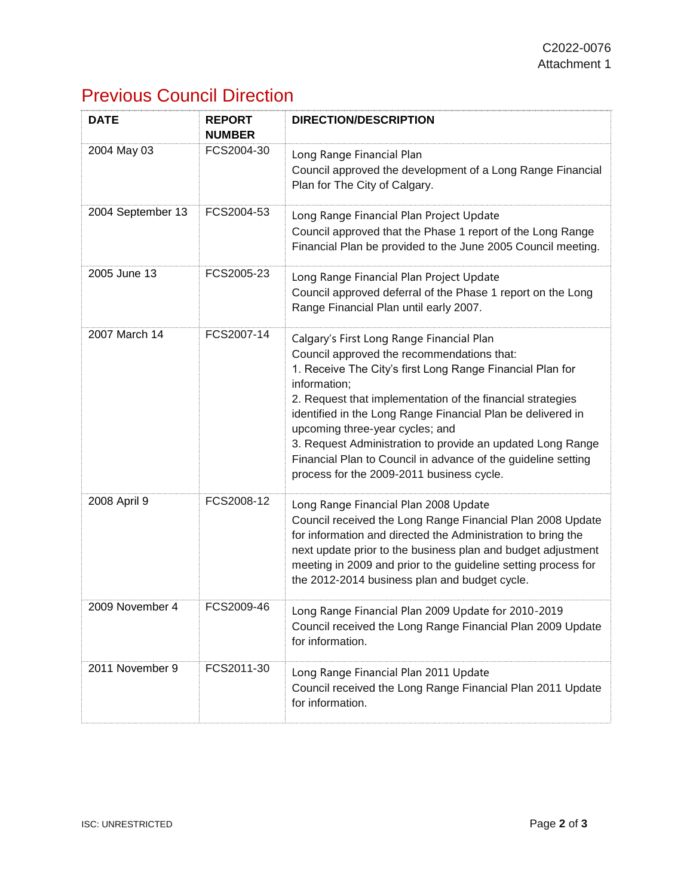## Previous Council Direction

| <b>DATE</b>       | <b>REPORT</b><br><b>NUMBER</b> | <b>DIRECTION/DESCRIPTION</b>                                                                                                                                                                                                                                                                                                                                                                                                                                                                                     |
|-------------------|--------------------------------|------------------------------------------------------------------------------------------------------------------------------------------------------------------------------------------------------------------------------------------------------------------------------------------------------------------------------------------------------------------------------------------------------------------------------------------------------------------------------------------------------------------|
| 2004 May 03       | FCS2004-30                     | Long Range Financial Plan<br>Council approved the development of a Long Range Financial<br>Plan for The City of Calgary.                                                                                                                                                                                                                                                                                                                                                                                         |
| 2004 September 13 | FCS2004-53                     | Long Range Financial Plan Project Update<br>Council approved that the Phase 1 report of the Long Range<br>Financial Plan be provided to the June 2005 Council meeting.                                                                                                                                                                                                                                                                                                                                           |
| 2005 June 13      | FCS2005-23                     | Long Range Financial Plan Project Update<br>Council approved deferral of the Phase 1 report on the Long<br>Range Financial Plan until early 2007.                                                                                                                                                                                                                                                                                                                                                                |
| 2007 March 14     | FCS2007-14                     | Calgary's First Long Range Financial Plan<br>Council approved the recommendations that:<br>1. Receive The City's first Long Range Financial Plan for<br>information;<br>2. Request that implementation of the financial strategies<br>identified in the Long Range Financial Plan be delivered in<br>upcoming three-year cycles; and<br>3. Request Administration to provide an updated Long Range<br>Financial Plan to Council in advance of the guideline setting<br>process for the 2009-2011 business cycle. |
| 2008 April 9      | FCS2008-12                     | Long Range Financial Plan 2008 Update<br>Council received the Long Range Financial Plan 2008 Update<br>for information and directed the Administration to bring the<br>next update prior to the business plan and budget adjustment<br>meeting in 2009 and prior to the guideline setting process for<br>the 2012-2014 business plan and budget cycle.                                                                                                                                                           |
| 2009 November 4   | FCS2009-46                     | Long Range Financial Plan 2009 Update for 2010-2019<br>Council received the Long Range Financial Plan 2009 Update<br>for information.                                                                                                                                                                                                                                                                                                                                                                            |
| 2011 November 9   | FCS2011-30                     | Long Range Financial Plan 2011 Update<br>Council received the Long Range Financial Plan 2011 Update<br>for information.                                                                                                                                                                                                                                                                                                                                                                                          |